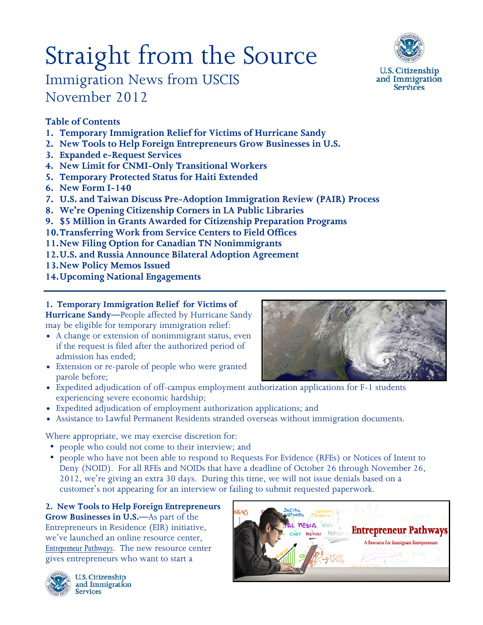# Straight from the Source



Immigration News from USCIS November 2012

# **Table of Contents**

- **1. Temporary Immigration Relief for Victims of Hurricane Sandy**
- **2. New Tools to Help Foreign Entrepreneurs Grow Businesses in U.S.**
- **3. Expanded e-Request Services**
- **4. New Limit for CNMI-Only Transitional Workers**
- **5. Temporary Protected Status for Haiti Extended**
- **6. New Form I-140**
- **7. U.S. and Taiwan Discuss Pre-Adoption Immigration Review (PAIR) Process**
- **8. We're Opening [Citizenship Corners](http://www.uscis.gov/portal/site/uscis/menuitem.5af9bb95919f35e66f614176543f6d1a/?vgnextoid=a37271eb810e9310VgnVCM100000082ca60aRCRD&vgnextchannel=68439c7755cb9010VgnVCM10000045f3d6a1RCRD) in LA Public Libraries**
- **9. \$5 Million in Grants Awarded for Citizenship Preparation Programs**
- **10.Transferring Work from Service Centers to Field Offices**
- **11.New Filing Option for Canadian TN Nonimmigrants**
- **12.U.S. and Russia Announce Bilateral Adoption Agreement**
- **13.New Policy Memos Issued**
- **14.Upcoming National Engagements**

# **1. [Temporary Immigration Relief](http://www.uscis.gov/portal/site/uscis/menuitem.5af9bb95919f35e66f614176543f6d1a/?vgnextoid=4a2c5cb3071ca310VgnVCM100000082ca60aRCRD&vgnextchannel=e7801c2c9be44210VgnVCM100000082ca60aRCRD) for Victims of**

**Hurricane Sandy—**People affected by Hurricane Sandy may be eligible for temporary immigration relief:

- A change or extension of nonimmigrant status, even if the request is filed after the authorized period of admission has ended;
- Extension or re-parole of people who were granted parole before;



- Expedited adjudication of off-campus employment authorization applications for F-1 students experiencing severe economic hardship;
- Expedited adjudication of employment authorization applications; and
- Assistance to Lawful Permanent Residents stranded overseas without immigration documents.

Where appropriate, we may exercise discretion for:

- people who could not come to their interview; and
- people who have not been able to respond to Requests For Evidence (RFEs) or Notices of Intent to Deny (NOID). For all RFEs and NOIDs that have a deadline of October 26 through November 26, 2012, we're giving an extra 30 days. During this time, we will not issue denials based on a customer's not appearing for an interview or failing to submit requested paperwork.

**2. New Tools to Help Foreign Entrepreneurs Grow Businesses in U.S.—**As part of the Entrepreneurs in Residence (EIR) initiative, we've launched an online resource center, *[Entrepreneur Pathways](http://www.uscis.gov/portal/site/uscis/eir)*. The new resource center gives entrepreneurs who want to start a



**U.S. Citizenship** and Immigration **Services** 

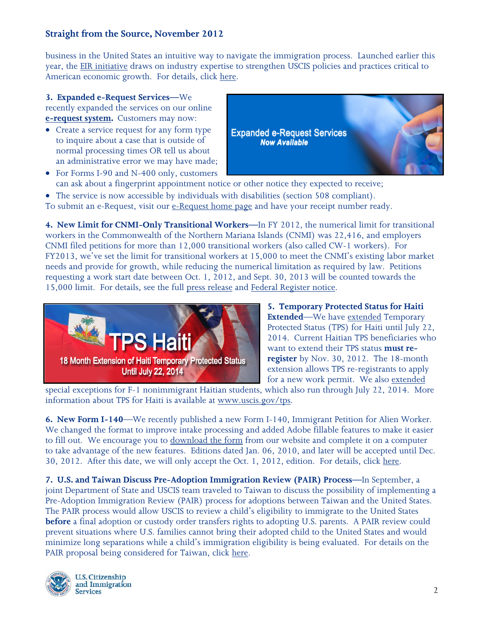#### **Straight from the Source, November 2012**

business in the United States an intuitive way to navigate the immigration process. Launched earlier this year, the [EIR initiative](http://www.uscis.gov/portal/site/uscis/menuitem.eb1d4c2a3e5b9ac89243c6a7543f6d1a/?vgnextoid=d44eee876cb85310VgnVCM100000082ca60aRCRD&vgnextchannel=d44eee876cb85310VgnVCM100000082ca60aRCRD) draws on industry expertise to strengthen USCIS policies and practices critical to American economic growth. For details, click [here.](http://www.uscis.gov/portal/site/uscis/menuitem.5af9bb95919f35e66f614176543f6d1a/?vgnextoid=946948749674b310VgnVCM100000082ca60aRCRD&vgnextchannel=68439c7755cb9010VgnVCM10000045f3d6a1RCRD)

**3. Expanded e-Request Services—**We recently expanded the services on our online **[e-request system.](https://egov.uscis.gov/e-request/Intro.do)** Customers may now:

• Create a service request for any form type to inquire about a case that is outside of normal processing times OR tell us about an administrative error we may have made;





- can ask about a fingerprint appointment notice or other notice they expected to receive;
- The service is now accessible by individuals with disabilities (section 508 compliant).
- To submit an e-Request, visit our [e-Request home page](https://egov.uscis.gov/e-request/) and have your receipt number ready.

**4. New Limit for CNMI-Only Transitional Workers—**In FY 2012, the numerical limit for transitional workers in the Commonwealth of the Northern Mariana Islands (CNMI) was 22,416, and employers CNMI filed petitions for more than 12,000 transitional workers (also called CW-1 workers). For FY2013, we've set the limit for transitional workers at 15,000 to meet the CNMI's existing labor market needs and provide for growth, while reducing the numerical limitation as required by law. Petitions requesting a work start date between Oct. 1, 2012, and Sept. 30, 2013 will be counted towards the 15,000 limit. For details, see the full [press release](http://www.uscis.gov/portal/site/uscis/menuitem.5af9bb95919f35e66f614176543f6d1a/?vgnextoid=f30e9a409115b310VgnVCM100000082ca60aRCRD&vgnextchannel=68439c7755cb9010VgnVCM10000045f3d6a1RCRD) and [Federal Register notice.](https://www.federalregister.gov/articles/2012/11/30/2012-29025/cnmi-only-transitional-worker-numerical-limitation-for-fiscal-year-2013)



**5. Temporary Protected Status for Haiti Extended**—We have [extended](http://www.gpo.gov/fdsys/pkg/FR-2012-10-01/pdf/2012-23826.pdf) Temporary Protected Status (TPS) for Haiti until July 22, 2014. Current Haitian TPS beneficiaries who want to extend their TPS status **must reregister** by Nov. 30, 2012. The 18-month extension allows TPS re-registrants to apply for a new work permit. We also [extended](http://www.gpo.gov/fdsys/pkg/FR-2012-10-01/pdf/2012-23825.pdf)

special exceptions for F-1 nonimmigrant Haitian students, which also run through July 22, 2014. More information about TPS for Haiti is available at [www.uscis.gov/tps.](http://www.uscis.gov/tps)

**6. New Form I-140**—We recently published a new Form I-140, Immigrant Petition for Alien Worker. We changed the format to improve intake processing and added Adobe fillable features to make it easier to fill out. We encourage you to [download the form](http://www.uscis.gov/files/form/i-140.pdf) from our website and complete it on a computer to take advantage of the new features. Editions dated Jan. 06, 2010, and later will be accepted until Dec. 30, 2012. After this date, we will only accept the Oct. 1, 2012, edition. For details, click [here.](http://www.uscis.gov/portal/site/uscis/menuitem.5af9bb95919f35e66f614176543f6d1a/?vgnextoid=f74e3fad247ba310VgnVCM100000082ca60aRCRD&vgnextchannel=e7801c2c9be44210VgnVCM100000082ca60aRCRD)

**7. U.S. and Taiwan Discuss Pre-Adoption Immigration Review (PAIR) Process—**In September, a joint Department of State and USCIS team traveled to Taiwan to discuss the possibility of implementing a Pre-Adoption Immigration Review (PAIR) process for adoptions between Taiwan and the United States. The PAIR process would allow USCIS to review a child's eligibility to immigrate to the United States **before** a final adoption or custody order transfers rights to adopting U.S. parents. A PAIR review could prevent situations where U.S. families cannot bring their adopted child to the United States and would minimize long separations while a child's immigration eligibility is being evaluated. For details on the PAIR proposal being considered for Taiwan, click [here.](http://www.uscis.gov/portal/site/uscis/menuitem.5af9bb95919f35e66f614176543f6d1a/?vgnextoid=aad1c3188799a310VgnVCM100000082ca60aRCRD&vgnextchannel=e7801c2c9be44210VgnVCM100000082ca60aRCRD)



**U.S. Citizenship** and Immigration **Services**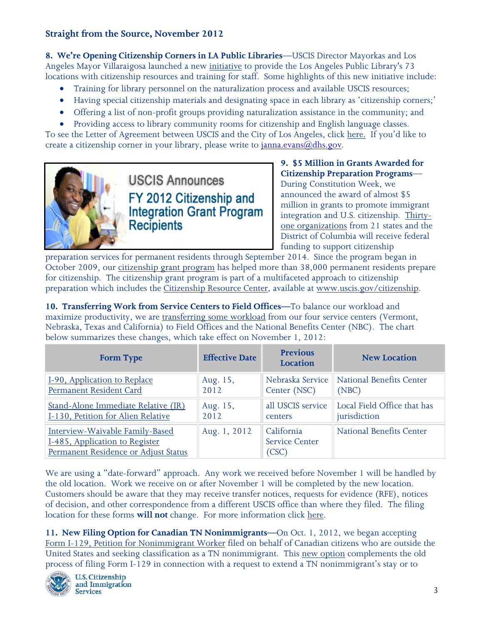# **Straight from the Source, November 2012**

**8. We're Opening [Citizenship Corners](http://www.uscis.gov/portal/site/uscis/menuitem.5af9bb95919f35e66f614176543f6d1a/?vgnextoid=a37271eb810e9310VgnVCM100000082ca60aRCRD&vgnextchannel=68439c7755cb9010VgnVCM10000045f3d6a1RCRD) in LA Public Libraries**—USCIS Director Mayorkas and Los Angeles Mayor Villaraigosa launched a new [initiative](http://www.uscis.gov/portal/site/uscis/menuitem.5af9bb95919f35e66f614176543f6d1a/?vgnextoid=a37271eb810e9310VgnVCM100000082ca60aRCRD&vgnextchannel=68439c7755cb9010VgnVCM10000045f3d6a1RCRD) to provide the Los Angeles Public Library's 73 locations with citizenship resources and training for staff. Some highlights of this new initiative include:

- Training for library personnel on the naturalization process and available USCIS resources;
- Having special citizenship materials and designating space in each library as 'citizenship corners;'
- Offering a list of non-profit groups providing naturalization assistance in the community; and

• Providing access to library community rooms for citizenship and English language classes. To see the [Letter of Agreement between USCIS and the City of Los Angeles, click here.](http://www.uscis.gov/portal/site/uscis/menuitem.5af9bb95919f35e66f614176543f6d1a/?vgnextoid=1c85cf0c2f0a9310VgnVCM100000082ca60aRCRD&vgnextchannel=8a2f6d26d17df110VgnVCM1000004718190aRCRD) If you'd like to create a citizenship corner in your library, please write to  $\frac{\text{dama}.\text{evans}(a)}{\text{dhs.gov}}$ .



**USCIS Announces** FY 2012 Citizenship and **Integration Grant Program Recipients** 

**9. \$5 Million in Grants Awarded for Citizenship Preparation Programs**—

During Constitution Week, we announced the award of almost \$5 million in grants to promote immigrant integration and U.S. citizenship. [Thirty](http://www.uscis.gov/USCIS/News/2012/Fact%20Sheets/Fact-Sheet-FY2012-Grant-Program.pdf)[one organizations](http://www.uscis.gov/USCIS/News/2012/Fact%20Sheets/Fact-Sheet-FY2012-Grant-Program.pdf) from 21 states and the District of Columbia will receive federal funding to support citizenship

preparation services for permanent residents through September 2014. Since the program began in October 2009, our [citizenship grant program](http://www.uscis.gov/grants) has helped more than 38,000 permanent residents prepare for citizenship. The citizenship grant program is part of a multifaceted approach to citizenship preparation which includes the [Citizenship Resource Center,](http://www.uscis.gov/citizenship) available at [www.uscis.gov/citizenship.](http://www.uscis.gov/citizenship)

**10. Transferring Work from Service Centers to Field Offices—**To balance our workload and maximize productivity, we are [transferring some workload](http://www.uscis.gov/portal/site/uscis/menuitem.5af9bb95919f35e66f614176543f6d1a/?vgnextoid=c3c7ca7c5fed9310VgnVCM100000082ca60aRCRD&vgnextchannel=e7801c2c9be44210VgnVCM100000082ca60aRCRD) from our four service centers (Vermont, Nebraska, Texas and California) to Field Offices and the National Benefits Center (NBC). The chart below summarizes these changes, which take effect on November 1, 2012:

| <b>Form Type</b>                                                                                          | <b>Effective Date</b> | <b>Previous</b><br><b>Location</b>           | <b>New Location</b>         |
|-----------------------------------------------------------------------------------------------------------|-----------------------|----------------------------------------------|-----------------------------|
| I-90, Application to Replace                                                                              | Aug. 15,              | Nebraska Service                             | National Benefits Center    |
| Permanent Resident Card                                                                                   | 2012                  | Center (NSC)                                 | (NBC)                       |
| Stand-Alone Immediate Relative (IR)                                                                       | Aug. 15,              | all USCIS service                            | Local Field Office that has |
| I-130, Petition for Alien Relative                                                                        | 2012                  | centers                                      | jurisdiction                |
| Interview-Waivable Family-Based<br>I-485, Application to Register<br>Permanent Residence or Adjust Status | Aug. 1, 2012          | California<br><b>Service Center</b><br>(CSC) | National Benefits Center    |

We are using a "date-forward" approach. Any work we received before November 1 will be handled by the old location. Work we receive on or after November 1 will be completed by the new location. Customers should be aware that they may receive transfer notices, requests for evidence (RFE), notices of decision, and other correspondence from a different USCIS office than where they filed. The filing location for these forms **will not** change. For more information click [here.](http://www.uscis.gov/portal/site/uscis/menuitem.5af9bb95919f35e66f614176543f6d1a/?vgnextoid=c3c7ca7c5fed9310VgnVCM100000082ca60aRCRD&vgnextchannel=e7801c2c9be44210VgnVCM100000082ca60aRCRD)

**11. New Filing Option for Canadian TN Nonimmigrants—**On Oct. 1, 2012, we began accepting [Form I-129, Petition for Nonimmigrant Worker](http://www.uscis.gov/i-129) filed on behalf of Canadian citizens who are outside the United States and seeking classification as a TN nonimmigrant. This [new option](http://www.uscis.gov/portal/site/uscis/menuitem.5af9bb95919f35e66f614176543f6d1a/?vgnextoid=c130f4c88ad0a310VgnVCM100000082ca60aRCRD&vgnextchannel=e7801c2c9be44210VgnVCM100000082ca60aRCRD) complements the old process of filing Form I-129 in connection with a request to extend a TN nonimmigrant's stay or to



**U.S. Citizenship** and Immigration **Services**